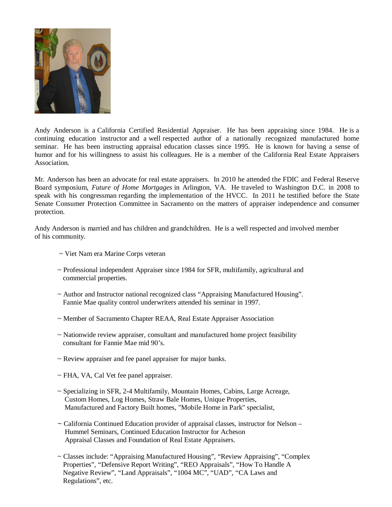

Andy Anderson is a California Certified Residential Appraiser. He has been appraising since 1984. He is a continuing education instructor and a well respected author of a nationally recognized manufactured home seminar. He has been instructing appraisal education classes since 1995. He is known for having a sense of humor and for his willingness to assist his colleagues. He is a member of the California Real Estate Appraisers Association.

Mr. Anderson has been an advocate for real estate appraisers. In 2010 he attended the FDIC and Federal Reserve Board symposium, *Future of Home Mortgages* in Arlington, VA. He traveled to Washington D.C. in 2008 to speak with his congressman regarding the implementation of the HVCC. In 2011 he testified before the State Senate Consumer Protection Committee in Sacramento on the matters of appraiser independence and consumer protection.

Andy Anderson is married and has children and grandchildren. He is a well respected and involved member of his community.

- ~ Viet Nam era Marine Corps veteran
- ~ Professional independent Appraiser since 1984 for SFR, multifamily, agricultural and commercial properties.
- ~ Author and Instructor national recognized class "Appraising Manufactured Housing". Fannie Mae quality control underwriters attended his seminar in 1997.
- ~ Member of Sacramento Chapter REAA, Real Estate Appraiser Association
- ~ Nationwide review appraiser, consultant and manufactured home project feasibility consultant for Fannie Mae mid 90's.
- ~ Review appraiser and fee panel appraiser for major banks.
- ~ FHA, VA, Cal Vet fee panel appraiser.
- ~ Specializing in SFR, 2-4 Multifamily, Mountain Homes, Cabins, Large Acreage, Custom Homes, Log Homes, Straw Bale Homes, Unique Properties, Manufactured and Factory Built homes, "Mobile Home in Park" specialist,
- $\sim$  California Continued Education provider of appraisal classes, instructor for Nelson Hummel Seminars, Continued Education Instructor for Acheson Appraisal Classes and Foundation of Real Estate Appraisers.
- ~ Classes include: "Appraising Manufactured Housing", "Review Appraising", "Complex Properties", "Defensive Report Writing", "REO Appraisals", "How To Handle A Negative Review", "Land Appraisals", "1004 MC", "UAD", "CA Laws and Regulations", etc.